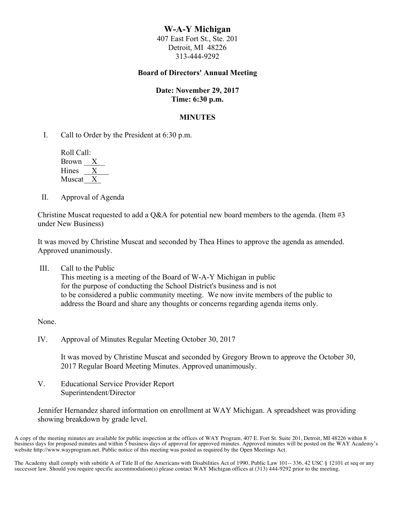# **W-A-Y Michigan**

407 East Fort St., Ste. 201 Detroit, MI 48226 313-444-9292

## **Board of Directors' Annual Meeting**

#### **Date: November 29, 2017 Time: 6:30 p.m.**

#### **MINUTES**

I. Call to Order by the President at 6:30 p.m.

 Roll Call: Brown  $\frac{X}{X}$ Hines Muscat<sub>X</sub>

II. Approval of Agenda

Christine Muscat requested to add a Q&A for potential new board members to the agenda. (Item #3 under New Business)

It was moved by Christine Muscat and seconded by Thea Hines to approve the agenda as amended. Approved unanimously.

III. Call to the Public This meeting is a meeting of the Board of W-A-Y Michigan in public for the purpose of conducting the School District's business and is not to be considered a public community meeting. We now invite members of the public to address the Board and share any thoughts or concerns regarding agenda items only.

None.

IV. Approval of Minutes Regular Meeting October 30, 2017

It was moved by Christine Muscat and seconded by Gregory Brown to approve the October 30, 2017 Regular Board Meeting Minutes. Approved unanimously.

V. Educational Service Provider Report Superintendent/Director

Jennifer Hernandez shared information on enrollment at WAY Michigan. A spreadsheet was providing showing breakdown by grade level.

A copy of the meeting minutes are available for public inspection at the offices of WAY Program, 407 E. Fort St. Suite 201, Detroit, MI 48226 within 8 business days for proposed minutes and within 5 business days of approval for approved minutes. Approved minutes will be posted on the WAY Academy's website http://www.wayprogram.net. Public notice of this meeting was posted as required by the Open Meetings Act.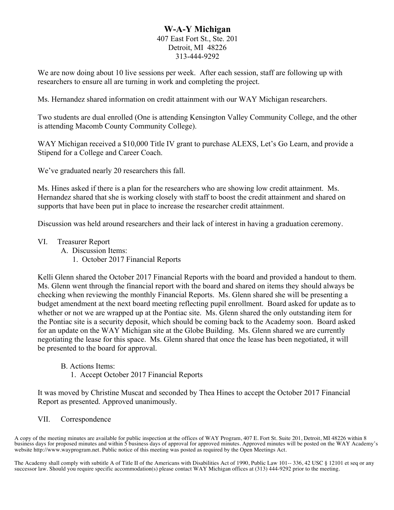# **W-A-Y Michigan**

## 407 East Fort St., Ste. 201 Detroit, MI 48226 313-444-9292

We are now doing about 10 live sessions per week. After each session, staff are following up with researchers to ensure all are turning in work and completing the project.

Ms. Hernandez shared information on credit attainment with our WAY Michigan researchers.

Two students are dual enrolled (One is attending Kensington Valley Community College, and the other is attending Macomb County Community College).

WAY Michigan received a \$10,000 Title IV grant to purchase ALEXS, Let's Go Learn, and provide a Stipend for a College and Career Coach.

We've graduated nearly 20 researchers this fall.

Ms. Hines asked if there is a plan for the researchers who are showing low credit attainment. Ms. Hernandez shared that she is working closely with staff to boost the credit attainment and shared on supports that have been put in place to increase the researcher credit attainment.

Discussion was held around researchers and their lack of interest in having a graduation ceremony.

- VI. Treasurer Report
	- A. Discussion Items:
		- 1. October 2017 Financial Reports

Kelli Glenn shared the October 2017 Financial Reports with the board and provided a handout to them. Ms. Glenn went through the financial report with the board and shared on items they should always be checking when reviewing the monthly Financial Reports. Ms. Glenn shared she will be presenting a budget amendment at the next board meeting reflecting pupil enrollment. Board asked for update as to whether or not we are wrapped up at the Pontiac site. Ms. Glenn shared the only outstanding item for the Pontiac site is a security deposit, which should be coming back to the Academy soon. Board asked for an update on the WAY Michigan site at the Globe Building. Ms. Glenn shared we are currently negotiating the lease for this space. Ms. Glenn shared that once the lease has been negotiated, it will be presented to the board for approval.

- B. Actions Items:
	- 1. Accept October 2017 Financial Reports

It was moved by Christine Muscat and seconded by Thea Hines to accept the October 2017 Financial Report as presented. Approved unanimously.

VII. Correspondence

A copy of the meeting minutes are available for public inspection at the offices of WAY Program, 407 E. Fort St. Suite 201, Detroit, MI 48226 within 8 business days for proposed minutes and within 5 business days of approval for approved minutes. Approved minutes will be posted on the WAY Academy's website http://www.wayprogram.net. Public notice of this meeting was posted as required by the Open Meetings Act.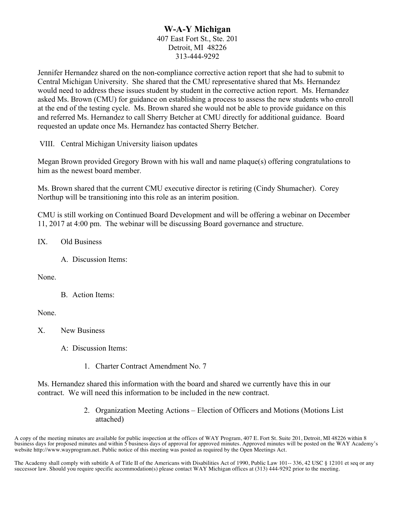# **W-A-Y Michigan** 407 East Fort St., Ste. 201 Detroit, MI 48226 313-444-9292

Jennifer Hernandez shared on the non-compliance corrective action report that she had to submit to Central Michigan University. She shared that the CMU representative shared that Ms. Hernandez would need to address these issues student by student in the corrective action report. Ms. Hernandez asked Ms. Brown (CMU) for guidance on establishing a process to assess the new students who enroll at the end of the testing cycle. Ms. Brown shared she would not be able to provide guidance on this and referred Ms. Hernandez to call Sherry Betcher at CMU directly for additional guidance. Board requested an update once Ms. Hernandez has contacted Sherry Betcher.

VIII. Central Michigan University liaison updates

Megan Brown provided Gregory Brown with his wall and name plaque(s) offering congratulations to him as the newest board member.

Ms. Brown shared that the current CMU executive director is retiring (Cindy Shumacher). Corey Northup will be transitioning into this role as an interim position.

CMU is still working on Continued Board Development and will be offering a webinar on December 11, 2017 at 4:00 pm. The webinar will be discussing Board governance and structure.

IX. Old Business

A. Discussion Items:

None.

B. Action Items:

None.

X. New Business

A: Discussion Items:

1. Charter Contract Amendment No. 7

Ms. Hernandez shared this information with the board and shared we currently have this in our contract. We will need this information to be included in the new contract.

> 2. Organization Meeting Actions – Election of Officers and Motions (Motions List attached)

A copy of the meeting minutes are available for public inspection at the offices of WAY Program, 407 E. Fort St. Suite 201, Detroit, MI 48226 within 8 business days for proposed minutes and within 5 business days of approval for approved minutes. Approved minutes will be posted on the WAY Academy's website http://www.wayprogram.net. Public notice of this meeting was posted as required by the Open Meetings Act.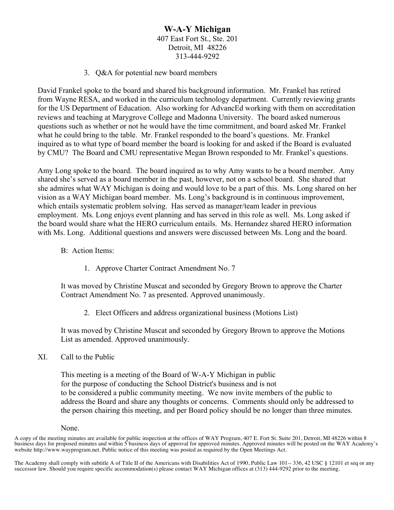# **W-A-Y Michigan** 407 East Fort St., Ste. 201 Detroit, MI 48226 313-444-9292

3. Q&A for potential new board members

David Frankel spoke to the board and shared his background information. Mr. Frankel has retired from Wayne RESA, and worked in the curriculum technology department. Currently reviewing grants for the US Department of Education. Also working for AdvancEd working with them on accreditation reviews and teaching at Marygrove College and Madonna University. The board asked numerous questions such as whether or not he would have the time commitment, and board asked Mr. Frankel what he could bring to the table. Mr. Frankel responded to the board's questions. Mr. Frankel inquired as to what type of board member the board is looking for and asked if the Board is evaluated by CMU? The Board and CMU representative Megan Brown responded to Mr. Frankel's questions.

Amy Long spoke to the board. The board inquired as to why Amy wants to be a board member. Amy shared she's served as a board member in the past, however, not on a school board. She shared that she admires what WAY Michigan is doing and would love to be a part of this. Ms. Long shared on her vision as a WAY Michigan board member. Ms. Long's background is in continuous improvement, which entails systematic problem solving. Has served as manager/team leader in previous employment. Ms. Long enjoys event planning and has served in this role as well. Ms. Long asked if the board would share what the HERO curriculum entails. Ms. Hernandez shared HERO information with Ms. Long. Additional questions and answers were discussed between Ms. Long and the board.

- B: Action Items:
	- 1. Approve Charter Contract Amendment No. 7

It was moved by Christine Muscat and seconded by Gregory Brown to approve the Charter Contract Amendment No. 7 as presented. Approved unanimously.

2. Elect Officers and address organizational business (Motions List)

It was moved by Christine Muscat and seconded by Gregory Brown to approve the Motions List as amended. Approved unanimously.

XI. Call to the Public

This meeting is a meeting of the Board of W-A-Y Michigan in public for the purpose of conducting the School District's business and is not to be considered a public community meeting. We now invite members of the public to address the Board and share any thoughts or concerns. Comments should only be addressed to the person chairing this meeting, and per Board policy should be no longer than three minutes.

#### None.

A copy of the meeting minutes are available for public inspection at the offices of WAY Program, 407 E. Fort St. Suite 201, Detroit, MI 48226 within 8 business days for proposed minutes and within 5 business days of approval for approved minutes. Approved minutes will be posted on the WAY Academy's website http://www.wayprogram.net. Public notice of this meeting was posted as required by the Open Meetings Act.